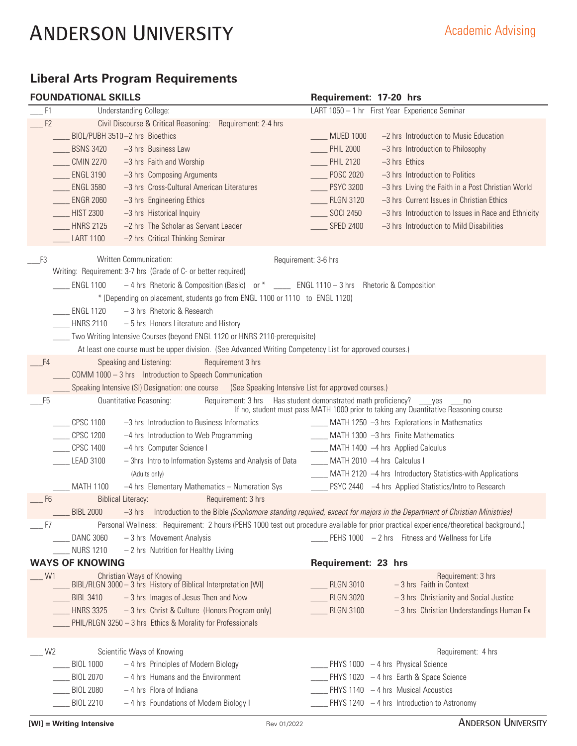# **Liberal Arts Program Requirements**

|  | <b>FOUNDATIONAL SKILLS</b> |  |
|--|----------------------------|--|
|  |                            |  |

|                | <b>FOUNDATIONAL SKILLS</b> |                                                                                                                                         | Requirement: 17-20 hrs                                                                                                                    |                                                     |
|----------------|----------------------------|-----------------------------------------------------------------------------------------------------------------------------------------|-------------------------------------------------------------------------------------------------------------------------------------------|-----------------------------------------------------|
| F1             |                            | <b>Understanding College:</b>                                                                                                           | LART 1050 - 1 hr First Year Experience Seminar                                                                                            |                                                     |
| F <sub>2</sub> |                            | Civil Discourse & Critical Reasoning:<br>Requirement: 2-4 hrs                                                                           |                                                                                                                                           |                                                     |
|                |                            | BIOL/PUBH 3510-2 hrs Bioethics                                                                                                          | <b>MUED 1000</b><br>-2 hrs Introduction to Music Education                                                                                |                                                     |
|                | <b>BSNS 3420</b>           | $-3$ hrs Business Law                                                                                                                   | -3 hrs Introduction to Philosophy<br><b>PHIL 2000</b>                                                                                     |                                                     |
|                | <b>CMIN 2270</b>           | $-3$ hrs Faith and Worship                                                                                                              | PHIL 2120<br>$-3$ hrs Ethics                                                                                                              |                                                     |
|                | <b>ENGL 3190</b>           | -3 hrs Composing Arguments                                                                                                              | POSC 2020<br>$-3$ hrs Introduction to Politics                                                                                            |                                                     |
|                | <b>ENGL 3580</b>           | -3 hrs Cross-Cultural American Literatures                                                                                              | <b>PSYC 3200</b>                                                                                                                          | -3 hrs Living the Faith in a Post Christian World   |
|                | <b>ENGR 2060</b>           | $-3$ hrs Engineering Ethics                                                                                                             | -3 hrs Current Issues in Christian Ethics<br><b>RLGN 3120</b>                                                                             |                                                     |
|                | <b>HIST 2300</b>           | -3 hrs Historical Inquiry                                                                                                               | SOCI 2450                                                                                                                                 | -3 hrs Introduction to Issues in Race and Ethnicity |
|                | <b>HNRS 2125</b>           | $-2$ hrs The Scholar as Servant Leader                                                                                                  | <b>SPED 2400</b><br>-3 hrs Introduction to Mild Disabilities                                                                              |                                                     |
|                | <b>LART 1100</b>           | -2 hrs Critical Thinking Seminar                                                                                                        |                                                                                                                                           |                                                     |
| F3             |                            | Written Communication:                                                                                                                  | Requirement: 3-6 hrs                                                                                                                      |                                                     |
|                |                            | Writing: Requirement: 3-7 hrs (Grade of C- or better required)                                                                          |                                                                                                                                           |                                                     |
|                | <b>ENGL 1100</b>           | -4 hrs Rhetoric & Composition (Basic) or * ____ ENGL 1110 - 3 hrs Rhetoric & Composition                                                |                                                                                                                                           |                                                     |
|                |                            | * (Depending on placement, students go from ENGL 1100 or 1110 to ENGL 1120)                                                             |                                                                                                                                           |                                                     |
|                | <b>ENGL 1120</b>           | $-3$ hrs Rhetoric & Research                                                                                                            |                                                                                                                                           |                                                     |
|                | <b>HNRS 2110</b>           | - 5 hrs Honors Literature and History                                                                                                   |                                                                                                                                           |                                                     |
|                |                            | Two Writing Intensive Courses (beyond ENGL 1120 or HNRS 2110-prerequisite)                                                              |                                                                                                                                           |                                                     |
|                |                            | At least one course must be upper division. (See Advanced Writing Competency List for approved courses.)                                |                                                                                                                                           |                                                     |
| F <sub>4</sub> |                            | Speaking and Listening:<br>Requirement 3 hrs                                                                                            |                                                                                                                                           |                                                     |
|                |                            | COMM 1000 - 3 hrs  Introduction to Speech Communication                                                                                 |                                                                                                                                           |                                                     |
|                |                            | Speaking Intensive (SI) Designation: one course (See Speaking Intensive List for approved courses.)                                     |                                                                                                                                           |                                                     |
| F5             |                            | Quantitative Reasoning:<br>Requirement: 3 hrs                                                                                           | Has student demonstrated math proficiency?<br>yes<br>If no, student must pass MATH 1000 prior to taking any Quantitative Reasoning course | no                                                  |
|                | <b>CPSC 1100</b>           | -3 hrs Introduction to Business Informatics                                                                                             | ____ MATH 1250 -3 hrs Explorations in Mathematics                                                                                         |                                                     |
|                | <b>CPSC 1200</b>           | -4 hrs Introduction to Web Programming                                                                                                  | MATH 1300 -3 hrs Finite Mathematics                                                                                                       |                                                     |
|                | <b>CPSC 1400</b>           | -4 hrs Computer Science I                                                                                                               | ____ MATH 1400 -4 hrs Applied Calculus                                                                                                    |                                                     |
|                | <b>LEAD 3100</b>           | - 3hrs Intro to Information Systems and Analysis of Data                                                                                | MATH 2010 -4 hrs Calculus I                                                                                                               |                                                     |
|                |                            | (Adults only)                                                                                                                           | MATH 2120 -4 hrs Introductory Statistics-with Applications                                                                                |                                                     |
|                | MATH 1100                  | -4 hrs Elementary Mathematics - Numeration Sys                                                                                          | PSYC 2440 -4 hrs Applied Statistics/Intro to Research                                                                                     |                                                     |
| F <sub>6</sub> |                            | Requirement: 3 hrs<br><b>Biblical Literacy:</b>                                                                                         |                                                                                                                                           |                                                     |
|                | <b>BIBL 2000</b>           | -3 hrs Introduction to the Bible (Sophomore standing required, except for majors in the Department of Christian Ministries)             |                                                                                                                                           |                                                     |
| $-F7$          |                            | Personal Wellness: Requirement: 2 hours (PEHS 1000 test out procedure available for prior practical experience/theoretical background.) |                                                                                                                                           |                                                     |
|                | <b>DANC 3060</b>           | -3 hrs Movement Analysis                                                                                                                | PEHS 1000 - 2 hrs Fitness and Wellness for Life                                                                                           |                                                     |
|                | <b>NURS 1210</b>           | - 2 hrs Nutrition for Healthy Living                                                                                                    |                                                                                                                                           |                                                     |
|                | <b>WAYS OF KNOWING</b>     |                                                                                                                                         | Requirement: 23 hrs                                                                                                                       |                                                     |
| W <sub>1</sub> |                            | Christian Ways of Knowing<br>BIBL/RLGN 3000 - 3 hrs History of Biblical Interpretation [WI]                                             | <b>RLGN 3010</b><br>$-3$ hrs Faith in Context                                                                                             | Requirement: 3 hrs                                  |
|                | <b>BIBL 3410</b>           | -3 hrs Images of Jesus Then and Now                                                                                                     | <b>RLGN 3020</b><br>-3 hrs Christianity and Social Justice                                                                                |                                                     |
|                | <b>HNRS 3325</b>           | - 3 hrs Christ & Culture (Honors Program only)                                                                                          | <b>RLGN 3100</b>                                                                                                                          | -3 hrs Christian Understandings Human Ex            |
|                |                            | PHIL/RLGN 3250 - 3 hrs Ethics & Morality for Professionals                                                                              |                                                                                                                                           |                                                     |
| W <sub>2</sub> |                            | Scientific Ways of Knowing                                                                                                              |                                                                                                                                           | Requirement: 4 hrs                                  |
|                | <b>BIOL 1000</b>           | -4 hrs Principles of Modern Biology                                                                                                     | PHYS 1000 - 4 hrs Physical Science                                                                                                        |                                                     |
|                | <b>BIOL 2070</b>           | - 4 hrs Humans and the Environment                                                                                                      | PHYS 1020 - 4 hrs Earth & Space Science                                                                                                   |                                                     |
|                | <b>BIOL 2080</b>           | $-4$ hrs Flora of Indiana                                                                                                               | PHYS 1140 - 4 hrs Musical Acoustics                                                                                                       |                                                     |
|                | <b>BIOL 2210</b>           | -4 hrs Foundations of Modern Biology I                                                                                                  | PHYS 1240 $-4$ hrs Introduction to Astronomy                                                                                              |                                                     |
|                |                            |                                                                                                                                         |                                                                                                                                           |                                                     |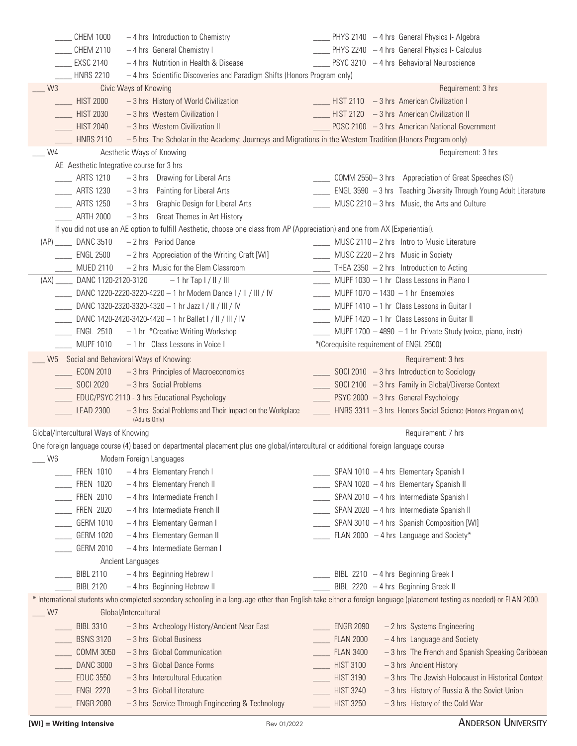|                | <b>CHEM 1000</b>                     | $-4$ hrs Introduction to Chemistry                                                                                                  | __ PHYS 2140 - 4 hrs General Physics I- Algebra                                                                                                                        |
|----------------|--------------------------------------|-------------------------------------------------------------------------------------------------------------------------------------|------------------------------------------------------------------------------------------------------------------------------------------------------------------------|
|                | CHEM 2110                            | - 4 hrs General Chemistry I                                                                                                         | PHYS 2240 - 4 hrs General Physics I- Calculus                                                                                                                          |
|                | <b>EXSC 2140</b>                     | - 4 hrs Nutrition in Health & Disease                                                                                               | PSYC 3210 - 4 hrs Behavioral Neuroscience                                                                                                                              |
|                | <b>HNRS 2210</b>                     | - 4 hrs Scientific Discoveries and Paradigm Shifts (Honors Program only)                                                            |                                                                                                                                                                        |
| W <sub>3</sub> |                                      | Civic Ways of Knowing                                                                                                               | Requirement: 3 hrs                                                                                                                                                     |
|                | <b>HIST 2000</b>                     | -3 hrs History of World Civilization                                                                                                | $HIST 2110 - 3 hrs$ American Civilization I                                                                                                                            |
|                | <b>HIST 2030</b>                     | - 3 hrs Western Civilization I                                                                                                      | HIST 2120 - 3 hrs American Civilization II                                                                                                                             |
|                | <b>HIST 2040</b>                     | -3 hrs Western Civilization II                                                                                                      | POSC 2100 - 3 hrs American National Government                                                                                                                         |
|                | <b>HNRS 2110</b>                     |                                                                                                                                     | - 5 hrs The Scholar in the Academy: Journeys and Migrations in the Western Tradition (Honors Program only)                                                             |
| W4             |                                      | Aesthetic Ways of Knowing                                                                                                           | Requirement: 3 hrs                                                                                                                                                     |
|                |                                      | AE Aesthetic Integrative course for 3 hrs                                                                                           |                                                                                                                                                                        |
|                | ARTS 1210                            | -3 hrs Drawing for Liberal Arts                                                                                                     | COMM 2550-3 hrs Appreciation of Great Speeches (SI)                                                                                                                    |
|                | <b>ARTS 1230</b>                     | $-3$ hrs Painting for Liberal Arts                                                                                                  | ENGL 3590 - 3 hrs Teaching Diversity Through Young Adult Literature                                                                                                    |
|                | <b>ARTS 1250</b>                     | Graphic Design for Liberal Arts<br>$-3$ hrs                                                                                         | MUSC 2210 - 3 hrs Music, the Arts and Culture                                                                                                                          |
|                |                                      |                                                                                                                                     |                                                                                                                                                                        |
|                | <b>ARTH 2000</b>                     | -3 hrs Great Themes in Art History                                                                                                  |                                                                                                                                                                        |
|                |                                      | If you did not use an AE option to fulfill Aesthetic, choose one class from AP (Appreciation) and one from AX (Experiential).       |                                                                                                                                                                        |
|                | (AP) _____ DANC 3510                 | $-2$ hrs Period Dance                                                                                                               | MUSC 2110 - 2 hrs  Intro to Music Literature                                                                                                                           |
|                | <b>ENGL 2500</b>                     | $-2$ hrs Appreciation of the Writing Craft [WI]                                                                                     | MUSC 2220 - 2 hrs Music in Society                                                                                                                                     |
|                | <b>MUED 2110</b>                     | - 2 hrs Music for the Elem Classroom                                                                                                | THEA 2350 $-2$ hrs Introduction to Acting                                                                                                                              |
| (AX)           | DANC 1120-2120-3120                  | $-1$ hr Tap $1/$ II / III                                                                                                           | MUPF 1030 - 1 hr Class Lessons in Piano I                                                                                                                              |
|                |                                      | DANC 1220-2220-3220-4220 - 1 hr Modern Dance I / II / III / IV                                                                      | MUPF $1070 - 1430 - 1$ hr Ensembles                                                                                                                                    |
|                |                                      | DANC 1320-2320-3320-4320 - 1 hr Jazz I / II / III / IV                                                                              | MUPF 1410 - 1 hr Class Lessons in Guitar I                                                                                                                             |
|                |                                      | DANC 1420-2420-3420-4420 - 1 hr Ballet I / II / III / IV                                                                            | MUPF 1420 - 1 hr Class Lessons in Guitar II                                                                                                                            |
|                | ENGL 2510                            | -1 hr *Creative Writing Workshop                                                                                                    | MUPF 1700 - 4890 - 1 hr Private Study (voice, piano, instr)                                                                                                            |
|                | <b>MUPF 1010</b>                     | $-1$ hr Class Lessons in Voice I                                                                                                    | *(Corequisite requirement of ENGL 2500)                                                                                                                                |
| W5             |                                      | Social and Behavioral Ways of Knowing:                                                                                              | Requirement: 3 hrs                                                                                                                                                     |
|                | <b>ECON 2010</b>                     | -3 hrs Principles of Macroeconomics                                                                                                 | $\frac{1}{2}$ SOCI 2010 - 3 hrs Introduction to Sociology                                                                                                              |
|                | <b>SOCI 2020</b>                     | - 3 hrs Social Problems                                                                                                             | SOCI 2100 - 3 hrs Family in Global/Diverse Context                                                                                                                     |
|                |                                      | EDUC/PSYC 2110 - 3 hrs Educational Psychology                                                                                       | PSYC 2000 - 3 hrs General Psychology                                                                                                                                   |
|                | <b>LEAD 2300</b>                     | - 3 hrs Social Problems and Their Impact on the Workplace<br>(Adults Only)                                                          | HNRS 3311 - 3 hrs Honors Social Science (Honors Program only)                                                                                                          |
|                | Global/Intercultural Ways of Knowing |                                                                                                                                     | Requirement: 7 hrs                                                                                                                                                     |
|                |                                      | One foreign language course (4) based on departmental placement plus one global/intercultural or additional foreign language course |                                                                                                                                                                        |
| W <sub>6</sub> |                                      | Modern Foreign Languages                                                                                                            |                                                                                                                                                                        |
|                | <b>FREN 1010</b>                     | - 4 hrs Elementary French I                                                                                                         | SPAN 1010 - 4 hrs Elementary Spanish I                                                                                                                                 |
|                | FREN 1020                            | - 4 hrs Elementary French II                                                                                                        | SPAN 1020 - 4 hrs Elementary Spanish II                                                                                                                                |
|                | <b>FREN 2010</b>                     | - 4 hrs Intermediate French I                                                                                                       | SPAN 2010 - 4 hrs Intermediate Spanish I                                                                                                                               |
|                | <b>FREN 2020</b>                     | - 4 hrs Intermediate French II                                                                                                      | SPAN 2020 - 4 hrs Intermediate Spanish II                                                                                                                              |
|                | <b>GERM 1010</b>                     | - 4 hrs Elementary German I                                                                                                         | SPAN 3010 - 4 hrs Spanish Composition [WI]                                                                                                                             |
|                |                                      |                                                                                                                                     |                                                                                                                                                                        |
|                | <b>GERM 1020</b>                     | - 4 hrs Elementary German II                                                                                                        | FLAN 2000 $-4$ hrs Language and Society*                                                                                                                               |
|                | <b>GERM 2010</b>                     | -4 hrs Intermediate German I                                                                                                        |                                                                                                                                                                        |
|                |                                      | Ancient Languages                                                                                                                   |                                                                                                                                                                        |
|                | <b>BIBL 2110</b>                     | - 4 hrs Beginning Hebrew I                                                                                                          | BIBL 2210 $-4$ hrs Beginning Greek I                                                                                                                                   |
|                | <b>BIBL 2120</b>                     | - 4 hrs Beginning Hebrew II                                                                                                         | BIBL 2220 - 4 hrs Beginning Greek II                                                                                                                                   |
| W7             |                                      | Global/Intercultural                                                                                                                | * International students who completed secondary schooling in a language other than English take either a foreign language (placement testing as needed) or FLAN 2000. |
|                | <b>BIBL 3310</b>                     | - 3 hrs Archeology History/Ancient Near East                                                                                        | <b>ENGR 2090</b><br>- 2 hrs Systems Engineering                                                                                                                        |
|                | <b>BSNS 3120</b>                     | $-3$ hrs Global Business                                                                                                            | <b>FLAN 2000</b><br>- 4 hrs Language and Society                                                                                                                       |
|                | <b>COMM 3050</b>                     | $-3$ hrs Global Communication                                                                                                       | <b>FLAN 3400</b><br>-3 hrs The French and Spanish Speaking Caribbean                                                                                                   |
|                | <b>DANC 3000</b>                     | - 3 hrs Global Dance Forms                                                                                                          | <b>HIST 3100</b><br>- 3 hrs Ancient History                                                                                                                            |
|                | <b>EDUC 3550</b>                     | $-3$ hrs Intercultural Education                                                                                                    | <b>HIST 3190</b><br>- 3 hrs The Jewish Holocaust in Historical Context                                                                                                 |
|                | <b>ENGL 2220</b>                     | $-3$ hrs Global Literature                                                                                                          | <b>HIST 3240</b><br>- 3 hrs History of Russia & the Soviet Union                                                                                                       |
|                | <b>ENGR 2080</b>                     | - 3 hrs Service Through Engineering & Technology                                                                                    | <b>HIST 3250</b><br>-3 hrs History of the Cold War                                                                                                                     |
|                |                                      |                                                                                                                                     |                                                                                                                                                                        |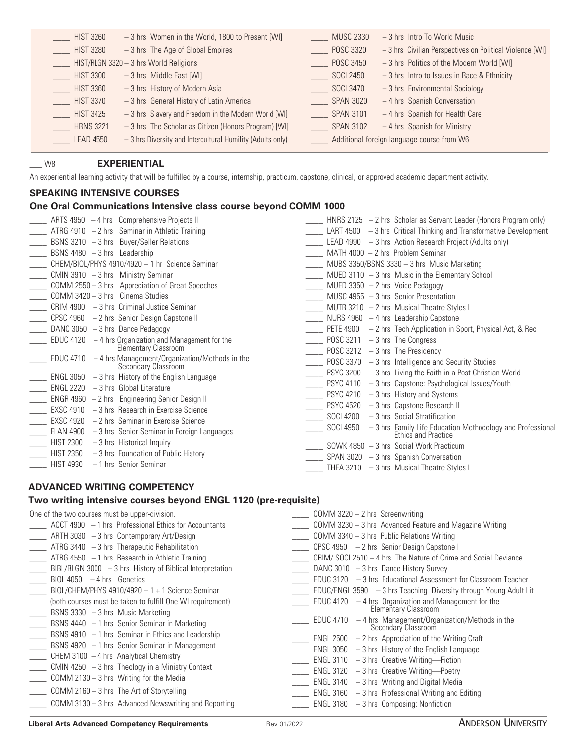| <b>HIST 3260</b> | -3 hrs Women in the World, 1800 to Present [WI]           | <b>MUSC 2330</b> | $-3$ hrs Intro To World Music                           |
|------------------|-----------------------------------------------------------|------------------|---------------------------------------------------------|
| <b>HIST 3280</b> | $-3$ hrs The Age of Global Empires                        | <b>POSC 3320</b> | -3 hrs Civilian Perspectives on Political Violence [WI] |
|                  | HIST/RLGN 3320 - 3 hrs World Religions                    | POSC 3450        | -3 hrs Politics of the Modern World [WI]                |
| <b>HIST 3300</b> | $-3$ hrs Middle East [WI]                                 | SOCI 2450        | $-3$ hrs Intro to Issues in Race & Ethnicity            |
| <b>HIST 3360</b> | $-3$ hrs History of Modern Asia                           | SOCI 3470        | $-3$ hrs Environmental Sociology                        |
| <b>HIST 3370</b> | -3 hrs General History of Latin America                   | <b>SPAN 3020</b> | - 4 hrs Spanish Conversation                            |
| <b>HIST 3425</b> | -3 hrs Slavery and Freedom in the Modern World [WI]       | <b>SPAN 3101</b> | - 4 hrs Spanish for Health Care                         |
| <b>HRNS 3221</b> | -3 hrs The Scholar as Citizen (Honors Program) [WI]       | <b>SPAN 3102</b> | $-4$ hrs Spanish for Ministry                           |
| <b>LEAD 4550</b> | -3 hrs Diversity and Intercultural Humility (Adults only) |                  | Additional foreign language course from W6              |
|                  |                                                           |                  |                                                         |

### \_\_\_ W8 **EXPERIENTIAL**

An experiential learning activity that will be fulfilled by a course, internship, practicum, capstone, clinical, or approved academic department activity.

#### **SPEAKING INTENSIVE COURSES**

#### **One Oral Communications Intensive class course beyond COMM 1000**

|                               | ARTS 4950 $-4$ hrs Comprehensive Projects II                                  |                  | HNRS 2125 $-2$ hrs Scholar as Servant Leader (Honors Program only)               |
|-------------------------------|-------------------------------------------------------------------------------|------------------|----------------------------------------------------------------------------------|
|                               | ATRG 4910 $-2$ hrs Seminar in Athletic Training                               |                  | $LART 4500 - 3$ hrs Critical Thinking and Transformative Development             |
|                               | BSNS $3210 - 3$ hrs Buyer/Seller Relations                                    |                  | LEAD 4990 $-3$ hrs Action Research Project (Adults only)                         |
| BSNS 4480 $-3$ hrs Leadership |                                                                               |                  | MATH 4000 $-2$ hrs Problem Seminar                                               |
|                               | CHEM/BIOL/PHYS 4910/4920 - 1 hr Science Seminar                               |                  | MUBS 3350/BSNS 3330 $-$ 3 hrs Music Marketing                                    |
|                               | CMIN 3910 $-3$ hrs Ministry Seminar                                           |                  | MUED 3110 $-3$ hrs Music in the Elementary School                                |
|                               | COMM 2550 - 3 hrs Appreciation of Great Speeches                              |                  | MUED 3350 $-2$ hrs Voice Pedagogy                                                |
|                               | COMM 3420 - 3 hrs Cinema Studies                                              |                  | MUSC 4955 $-3$ hrs Senior Presentation                                           |
|                               | CRIM 4900 - 3 hrs Criminal Justice Seminar                                    |                  | MUTR 3210 $-2$ hrs Musical Theatre Styles I                                      |
|                               | CPSC 4960 - 2 hrs Senior Design Capstone II                                   |                  | NURS 4960 $-4$ hrs Leadership Capstone                                           |
|                               | DANC $3050 - 3$ hrs Dance Pedagogy                                            |                  | PETE 4900 $-2$ hrs Tech Application in Sport, Physical Act, & Rec                |
|                               | EDUC 4120 $-4$ hrs Organization and Management for the                        |                  | POSC 3211 $-3$ hrs The Congress                                                  |
|                               | Elementary Classroom                                                          |                  | POSC $3212 - 3$ hrs The Presidency                                               |
|                               | EDUC 4710 $-4$ hrs Management/Organization/Methods in the Secondary Classroom |                  | POSC $3370 - 3$ hrs Intelligence and Security Studies                            |
|                               | $ENGL$ 3050 $-3$ hrs History of the English Language                          |                  | PSYC 3200 $-3$ hrs Living the Faith in a Post Christian World                    |
| ENGL 2220                     | $-3$ hrs Global Literature                                                    | <b>PSYC 4110</b> | -3 hrs Capstone: Psychological Issues/Youth                                      |
|                               | $ENGR 4960 - 2 hrs$ Engineering Senior Design II                              | <b>PSYC 4210</b> | -3 hrs History and Systems                                                       |
| <b>EXSC 4910</b>              | $-3$ hrs Research in Exercise Science                                         | <b>PSYC 4520</b> | -3 hrs Capstone Research II                                                      |
| <b>EXSC 4920</b>              | - 2 hrs Seminar in Exercise Science                                           | <b>SOCI 4200</b> | $-3$ hrs Social Stratification                                                   |
| <b>FLAN 4900</b>              | $-3$ hrs Senior Seminar in Foreign Languages                                  | SOCI 4950        | $-$ 3 hrs Family Life Education Methodology and Professional Ethics and Practice |
| <b>HIST 2300</b>              | $-3$ hrs Historical Inquiry                                                   |                  | $SOWK 4850 - 3$ hrs Social Work Practicum                                        |
| <b>HIST 2350</b>              | $-3$ hrs Foundation of Public History                                         |                  | SPAN 3020 $-3$ hrs Spanish Conversation                                          |
| <b>HIST 4930</b>              | - 1 hrs Senior Seminar                                                        |                  | THEA 3210 $-3$ hrs Musical Theatre Styles I                                      |
|                               |                                                                               |                  |                                                                                  |

### **ADVANCED WRITING COMPETENCY**

#### **Two writing intensive courses beyond ENGL 1120 (pre-requisite)**